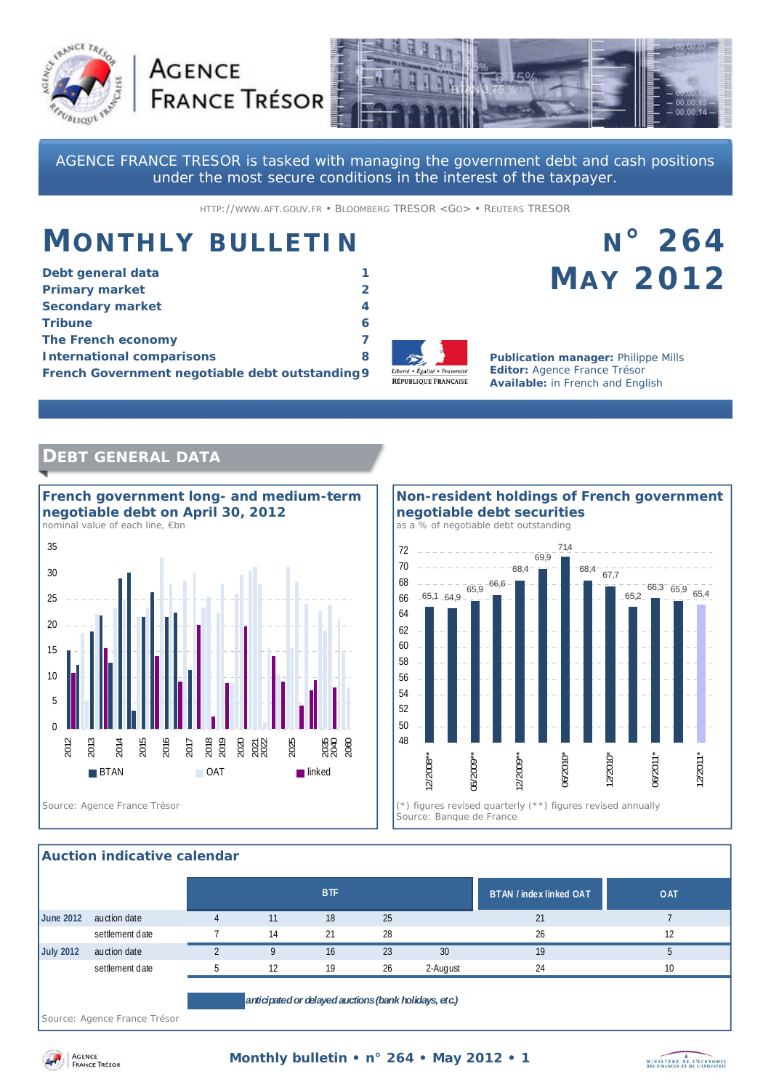



AGENCE FRANCE TRESOR is tasked with managing the government debt and cash positions under the most secure conditions in the interest of the taxpayer.

HTTP://WWW.AFT.GOUV.FR • BLOOMBERG TRESOR <GO> • REUTERS TRESOR

# **MONTHLY BULLETIN**

**AGENCE** 

| Debt general data                               |   |
|-------------------------------------------------|---|
| <b>Primary market</b>                           |   |
| <b>Secondary market</b>                         | 4 |
| <b>Tribune</b>                                  |   |
| The French economy                              |   |
| <b>International comparisons</b>                | 8 |
| French Government negotiable debt outstanding 9 |   |



**Publication manager:** Philippe Mills **Editor:** Agence France Trésor **Available:** in French and English

**N° 264** 

**MAY 2012**

### **DEBT GENERAL DATA**



#### **Non-resident holdings of French government negotiable debt securities**  *as a % of negotiable debt outstanding*



#### **Auction indicative calendar**

|                  |                                                                                   |  |    | <b>BTF</b> |    |          | BTAN / index linked OAT | <b>OAT</b> |
|------------------|-----------------------------------------------------------------------------------|--|----|------------|----|----------|-------------------------|------------|
| <b>June 2012</b> | auction date                                                                      |  | 11 | 18         | 25 |          | 21                      |            |
|                  | settlement date                                                                   |  | 14 | 21         | 28 |          | 26                      | 12         |
| <b>July 2012</b> | auction date                                                                      |  |    | 16         | 23 | 30       | 19                      |            |
|                  | settlement date                                                                   |  | 12 | 19         | 26 | 2-August | 24                      | 10         |
|                  | anticipated or delayed auctions (bank holidays, etc.)<br>the property of the con- |  |    |            |    |          |                         |            |

*Source: Agence France Trésor* 



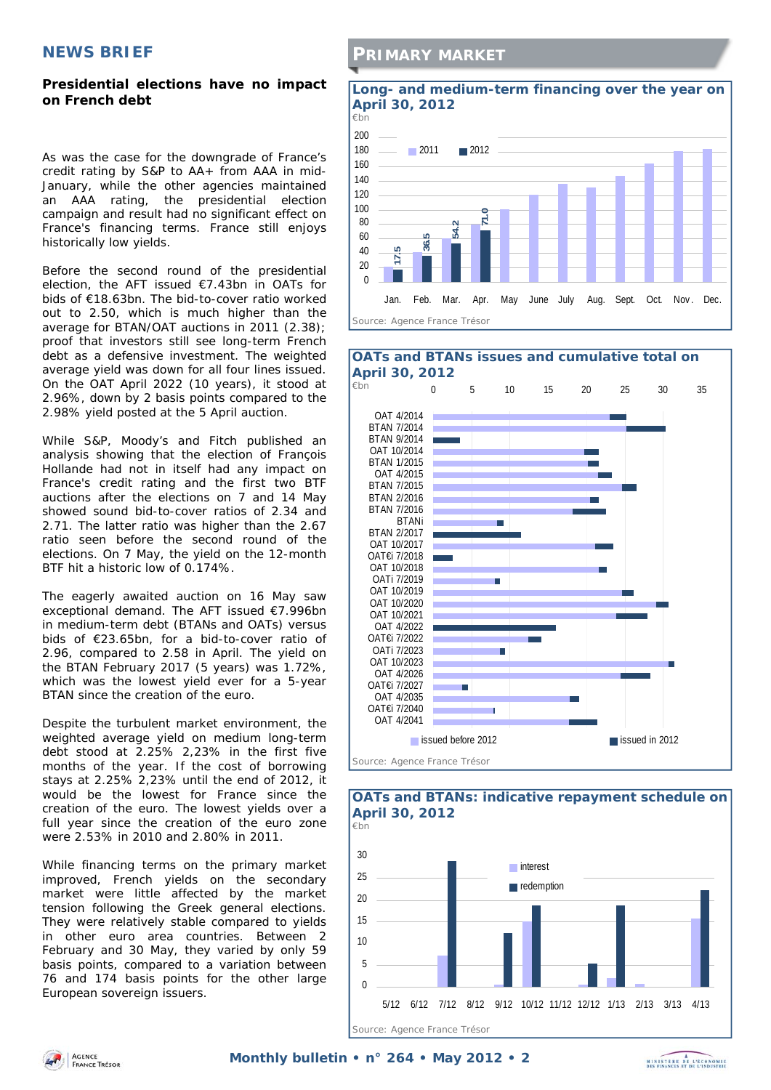#### **NEWS BRIEF**

#### **Presidential elections have no impact on French debt**

As was the case for the downgrade of France's credit rating by S&P to AA+ from AAA in mid-January, while the other agencies maintained an AAA rating, the presidential election campaign and result had no significant effect on France's financing terms. France still enjoys historically low yields.

Before the second round of the presidential election, the AFT issued €7.43bn in OATs for bids of €18.63bn. The bid-to-cover ratio worked out to 2.50, which is much higher than the average for BTAN/OAT auctions in 2011 (2.38); proof that investors still see long-term French debt as a defensive investment. The weighted average yield was down for all four lines issued. On the OAT April 2022 (10 years), it stood at 2.96%, down by 2 basis points compared to the 2.98% yield posted at the 5 April auction.

While S&P, Moody's and Fitch published an analysis showing that the election of François Hollande had not in itself had any impact on France's credit rating and the first two BTF auctions after the elections on 7 and 14 May showed sound bid-to-cover ratios of 2.34 and 2.71. The latter ratio was higher than the 2.67 ratio seen before the second round of the elections. On 7 May, the yield on the 12-month BTF hit a historic low of 0.174%.

The eagerly awaited auction on 16 May saw exceptional demand. The AFT issued €7.996bn in medium-term debt (BTANs and OATs) versus bids of €23.65bn, for a bid-to-cover ratio of 2.96, compared to 2.58 in April. The yield on the BTAN February 2017 (5 years) was 1.72%, which was the lowest yield ever for a 5-year BTAN since the creation of the euro.

Despite the turbulent market environment, the weighted average yield on medium long-term debt stood at 2.25% 2,23% in the first five months of the year. If the cost of borrowing stays at 2.25% 2,23% until the end of 2012, it would be the lowest for France since the creation of the euro. The lowest yields over a full year since the creation of the euro zone were 2.53% in 2010 and 2.80% in 2011.

While financing terms on the primary market improved, French yields on the secondary market were little affected by the market tension following the Greek general elections. They were relatively stable compared to yields in other euro area countries. Between 2 February and 30 May, they varied by only 59 basis points, compared to a variation between 76 and 174 basis points for the other large European sovereign issuers.

#### **PRIMARY MARKET**





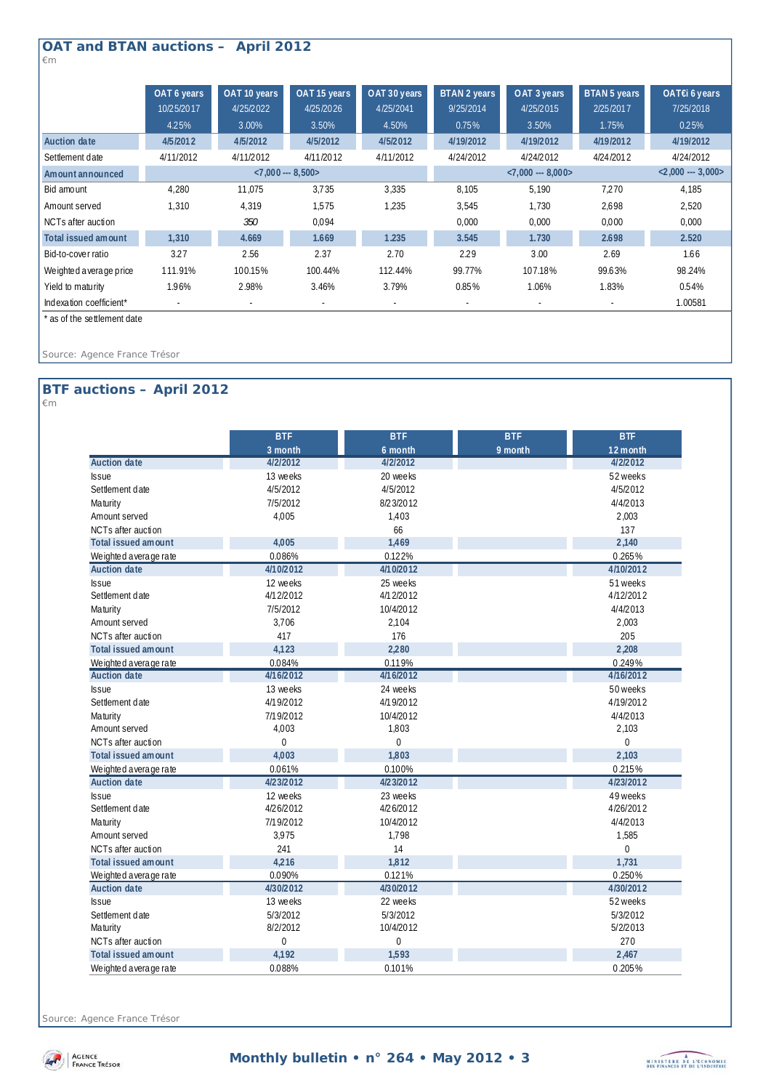## **OAT and BTAN auctions – April 2012**

*€m* 

|                            | OAT 6 years          | OAT 10 years | OAT 15 years | OAT 30 years             | BTAN 2 years         | OAT 3 years | BTAN 5 years | OAT€i 6 years        |
|----------------------------|----------------------|--------------|--------------|--------------------------|----------------------|-------------|--------------|----------------------|
|                            | 10/25/2017           | 4/25/2022    | 4/25/2026    | 4/25/2041                | 9/25/2014            | 4/25/2015   | 2/25/2017    | 7/25/2018            |
|                            | 4.25%                | 3.00%        | 3.50%        | 4.50%                    | 0.75%                | 3.50%       | 1.75%        | 0.25%                |
| Auction date               | 4/5/2012             | 4/5/2012     | 4/5/2012     | 4/5/2012                 | 4/19/2012            | 4/19/2012   | 4/19/2012    | 4/19/2012            |
| Settlement date            | 4/11/2012            | 4/11/2012    | 4/11/2012    | 4/11/2012                | 4/24/2012            | 4/24/2012   | 4/24/2012    | 4/24/2012            |
| Amount announced           | $< 7,000 -- 8,500 >$ |              |              |                          | $< 7,000 -- 8,000 >$ |             |              | $< 2,000 -- 3,000 >$ |
| Bid amount                 | 4,280                | 11,075       | 3.735        | 3,335                    | 8,105                | 5.190       | 7.270        | 4,185                |
| Amount served              | 1,310                | 4.319        | 1.575        | 1,235                    | 3,545                | 1.730       | 2.698        | 2,520                |
| NCTs after auction         |                      | 350          | 0.094        |                          | 0.000                | 0.000       | 0.000        | 0.000                |
| <b>Total issued amount</b> | 1,310                | 4.669        | 1.669        | 1.235                    | 3.545                | 1.730       | 2.698        | 2.520                |
| Bid-to-cover ratio         | 3.27                 | 2.56         | 2.37         | 2.70                     | 2.29                 | 3.00        | 2.69         | 1.66                 |
| Weighted average price     | 111.91%              | 100.15%      | 100.44%      | 112.44%                  | 99.77%               | 107.18%     | 99.63%       | 98.24%               |
| Yield to maturity          | 1.96%                | 2.98%        | 3.46%        | 3.79%                    | 0.85%                | 1.06%       | 1.83%        | 0.54%                |
| Indexation coefficient*    |                      | $\sim$       | ٠            | $\overline{\phantom{a}}$ | ٠                    |             | $\sim$       | 1.00581              |

\* as of the settlement date

*Source: Agence France Trésor* 

### **BTF auctions – April 2012**

*€m* 

|                            | <b>BTF</b>     | <b>BTF</b>  | <b>BTF</b> | <b>BTF</b> |
|----------------------------|----------------|-------------|------------|------------|
|                            | 3 month        | 6 month     | 9 month    | 12 month   |
| <b>Auction date</b>        | 4/2/2012       | 4/2/2012    |            | 4/2/2012   |
| <b>Issue</b>               | 13 weeks       | 20 weeks    |            | 52 weeks   |
| Settlement date            | 4/5/2012       | 4/5/2012    |            | 4/5/2012   |
| <b>Maturity</b>            | 7/5/2012       | 8/23/2012   |            | 4/4/2013   |
| Amount served              | 4,005          | 1,403       |            | 2,003      |
| NCTs after auction         |                | 66          |            | 137        |
| <b>Total issued amount</b> | 4,005          | 1,469       |            | 2,140      |
| We ighted a verage rate    | 0.086%         | 0.122%      |            | 0.265%     |
| <b>Auction date</b>        | 4/10/2012      | 4/10/2012   |            | 4/10/2012  |
| <b>Issue</b>               | 12 weeks       | 25 weeks    |            | 51 weeks   |
| Settlement date            | 4/12/2012      | 4/1 2/2012  |            | 4/12/2012  |
| <b>Maturity</b>            | 7/5/2012       | 10/4/2012   |            | 4/4/2013   |
| Amount served              | 3,706          | 2,104       |            | 2,003      |
| NCTs after auction         | 417            | 176         |            | 205        |
| <b>Total issued amount</b> | 4,123          | 2,280       |            | 2,208      |
| We ighted a verage rate    | 0.084%         | 0.119%      |            | 0.249%     |
| <b>Auction date</b>        | 4/16/2012      | 4/16/2012   |            | 4/16/2012  |
| <b>Issue</b>               | 13 weeks       | 24 weeks    |            | 50 weeks   |
| Settlement date            | 4/19/2012      | 4/19/2012   |            | 4/19/2012  |
| <b>Maturity</b>            | 7/19/2012      | 10/4/2012   |            | 4/4/2013   |
| Amount served              | 4,003          | 1,803       |            | 2,103      |
| NCTs after auction         | 0              | 0           |            | 0          |
| <b>Total issued amount</b> | 4,003          | 1,803       |            | 2,103      |
| We ighted a verage rate    | 0.061%         | 0.100%      |            | 0.215%     |
| <b>Auction date</b>        | 4/23/2012      | 4/23/2012   |            | 4/23/2012  |
| <b>Issue</b>               | 12 weeks       | 23 weeks    |            | 49 weeks   |
| Settlement date            | 4/26/2012      | 4/26/2012   |            | 4/26/2012  |
| <b>Maturity</b>            | 7/19/2012      | 10/4/2012   |            | 4/4/2013   |
| Amount served              | 3,975          | 1,798       |            | 1,585      |
| NCTs after auction         | 241            | 14          |            | 0          |
| <b>Total issued amount</b> | 4,216          | 1,812       |            | 1,731      |
| We ighted a verage rate    | 0.090%         | 0.121%      |            | 0.250%     |
| <b>Auction date</b>        | 4/30/2012      | 4/30/2012   |            | 4/30/2012  |
| <b>Issue</b>               | 13 weeks       | 22 weeks    |            | 52 weeks   |
| Settlement date            | 5/3/2012       | 5/3/2012    |            | 5/3/2012   |
| <b>Maturity</b>            | 8/2/2012       | 10/4/2012   |            | 5/2/2013   |
| NCTs after auction         | $\overline{0}$ | $\mathbf 0$ |            | 270        |
| <b>Total issued amount</b> | 4,192          | 1,593       |            | 2,467      |
| We ighted a verage rate    | 0.088%         | 0.101%      |            | 0.205%     |

*Source: Agence France Trésor* 



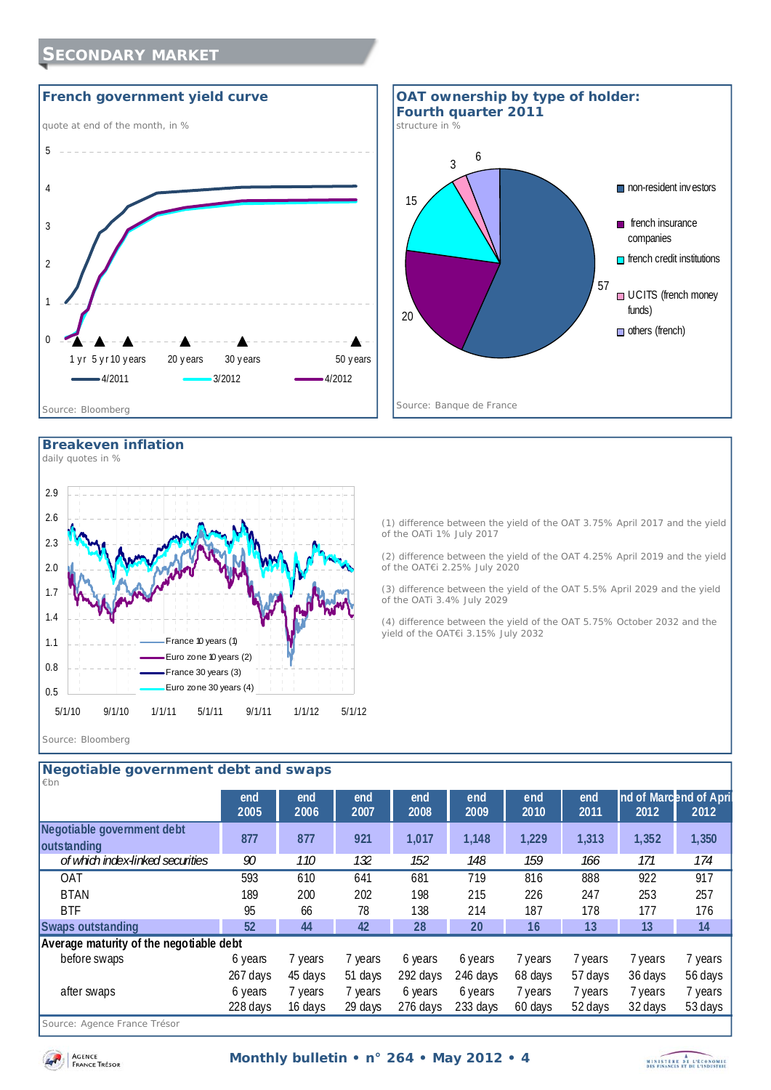





#### **Breakeven inflation**

*daily quotes in %* 



(1) difference between the yield of the OAT 3.75% April 2017 and the yield of the OATi 1% July 2017 (2) difference between the yield of the OAT 4.25% April 2019 and the yield

of the OAT€i 2.25% July 2020

(3) difference between the yield of the OAT 5.5% April 2029 and the yield of the OATi 3.4% July 2029

(4) difference between the yield of the OAT 5.75% October 2032 and the yield of the OAT€i 3.15% July 2032

#### *Source: Bloomberg*

| Negotiable government debt and swaps |                                         |             |             |             |             |             |             |                                |         |
|--------------------------------------|-----------------------------------------|-------------|-------------|-------------|-------------|-------------|-------------|--------------------------------|---------|
| $\not\varepsilon$ bn                 |                                         |             |             |             |             |             |             |                                |         |
|                                      | end<br>2005                             | end<br>2006 | end<br>2007 | end<br>2008 | end<br>2009 | end<br>2010 | end<br>2011 | nd of Marcend of April<br>2012 | 2012    |
|                                      |                                         |             |             |             |             |             |             |                                |         |
| Negotiable government debt           | 877                                     | 877         | 921         | 1,017       | 1,148       | 1,229       | 1,313       | 1,352                          | 1,350   |
| outstanding                          |                                         |             |             |             |             |             |             |                                |         |
| of which index-linked securities     | 90                                      | <i>110</i>  | 132         | 152         | 148         | 159         | 166         | 171                            | 174     |
| <b>OAT</b>                           | 593                                     | 610         | 641         | 681         | 719         | 816         | 888         | 922                            | 917     |
| <b>BTAN</b>                          | 189                                     | 200         | 202         | 198         | 215         | 226         | 247         | 253                            | 257     |
| <b>BTF</b>                           | 95                                      | 66          | 78          | 138         | 214         | 187         | 178         | 177                            | 176     |
| <b>Swaps outstanding</b>             | 52                                      | 44          | 42          | 28          | 20          | 16          | 13          | 13                             | 14      |
|                                      | Average maturity of the negotiable debt |             |             |             |             |             |             |                                |         |
| before swaps                         | 6 years                                 | 7 years     | 7 years     | 6 years     | 6 years     | 7 years     | 7 years     | 7 years                        | 7 years |
|                                      | 267 days                                | 45 days     | 51 days     | 292 days    | 246 days    | 68 days     | 57 days     | 36 days                        | 56 days |
| after swaps                          | 6 years                                 | 7 years     | 7 years     | 6 years     | 6 years     | 7 years     | 7 years     | 7 years                        | 7 years |
|                                      | 228 days                                | 16 days     | 29 days     | 276 days    | 233 days    | 60 days     | 52 days     | 32 days                        | 53 days |

*Source: Agence France Trésor* 

AGENCE **FRANCE** TRESOR

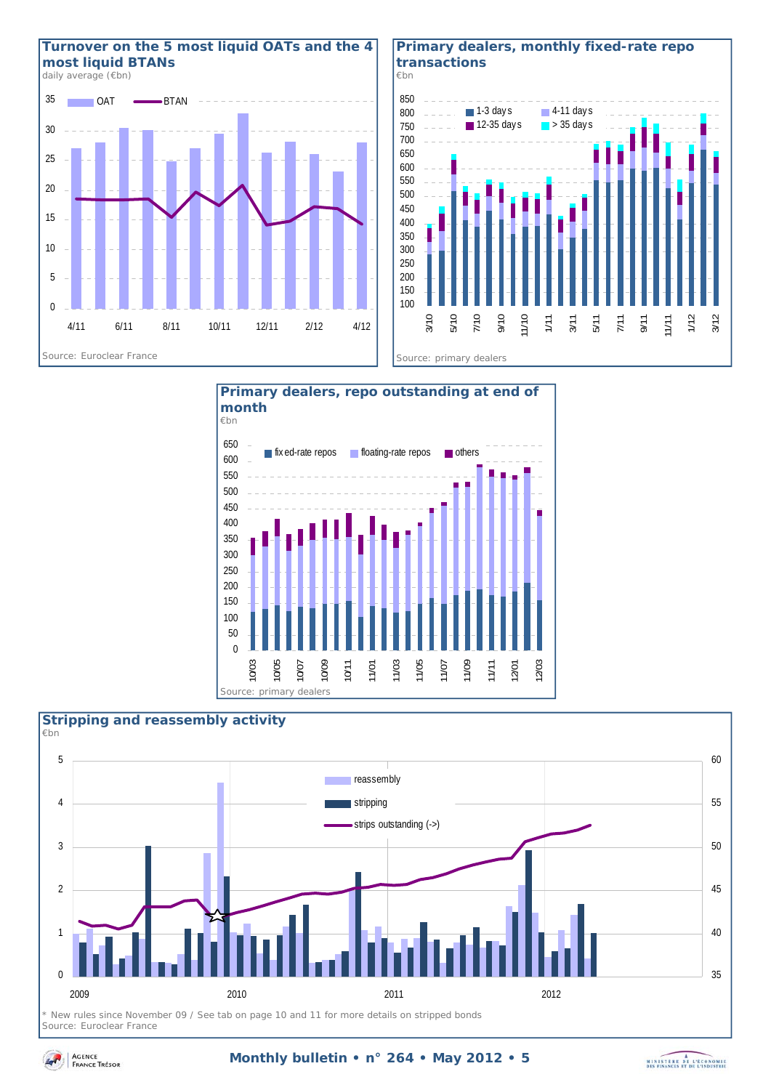

#### **Primary dealers, monthly fixed-rate repo transactions**





#### $\Omega$ 1  $\overline{2}$ 3 4 5 2009 2010 2011 2012 35 40 45 50 55 60 **reassembly** stripping strips outstanding (->) **Stripping and reassembly activity**  *€bn*

*\* New rules since November 09 / See tab on page 10 and 11 for more details on stripped bonds Source: Euroclear France* 

#### **Monthly bulletin • n° 264 • May 2012 • 5**

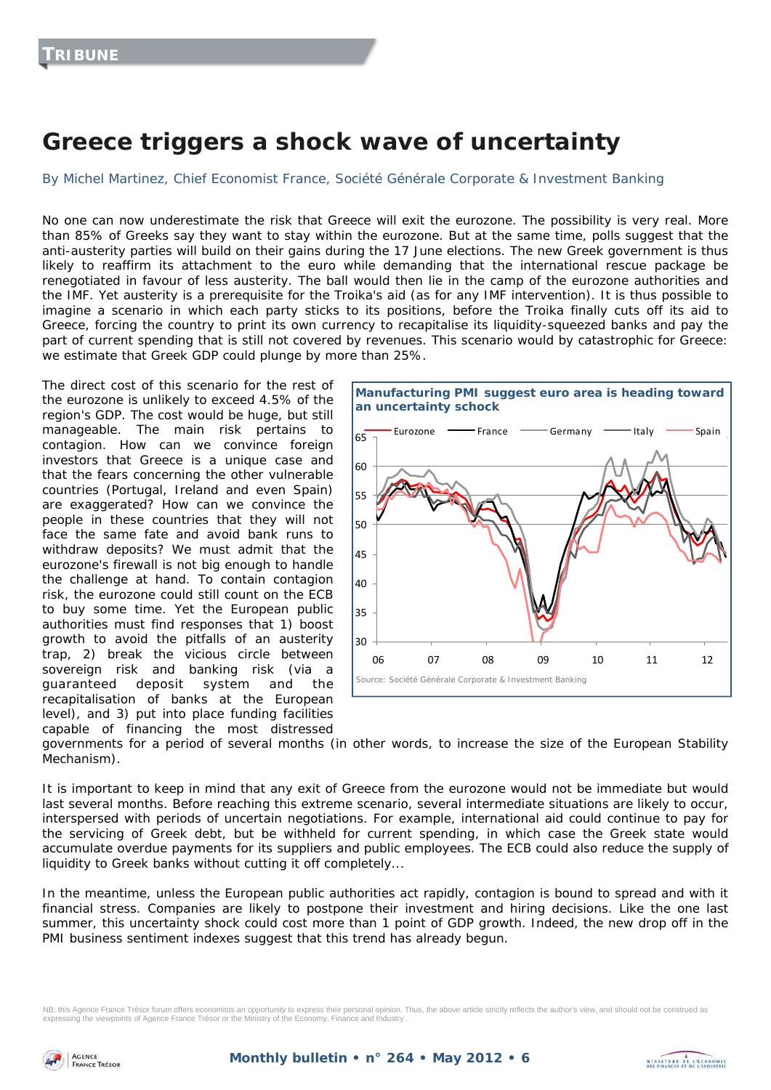# **Greece triggers a shock wave of uncertainty**

By Michel Martinez, Chief Economist France, Société Générale Corporate & Investment Banking

No one can now underestimate the risk that Greece will exit the eurozone. The possibility is very real. More than 85% of Greeks say they want to stay within the eurozone. But at the same time, polls suggest that the anti-austerity parties will build on their gains during the 17 June elections. The new Greek government is thus likely to reaffirm its attachment to the euro while demanding that the international rescue package be renegotiated in favour of less austerity. The ball would then lie in the camp of the eurozone authorities and the IMF. Yet austerity is a prerequisite for the Troika's aid (as for any IMF intervention). It is thus possible to imagine a scenario in which each party sticks to its positions, before the Troika finally cuts off its aid to Greece, forcing the country to print its own currency to recapitalise its liquidity-squeezed banks and pay the part of current spending that is still not covered by revenues. This scenario would by catastrophic for Greece: we estimate that Greek GDP could plunge by more than 25%.

The direct cost of this scenario for the rest of the eurozone is unlikely to exceed 4.5% of the region's GDP. The cost would be huge, but still manageable. The main risk pertains to contagion. How can we convince foreign investors that Greece is a unique case and that the fears concerning the other vulnerable countries (Portugal, Ireland and even Spain) are exaggerated? How can we convince the people in these countries that they will not face the same fate and avoid bank runs to withdraw deposits? We must admit that the eurozone's firewall is not big enough to handle the challenge at hand. To contain contagion risk, the eurozone could still count on the ECB to buy some time. Yet the European public authorities must find responses that 1) boost growth to avoid the pitfalls of an austerity trap, 2) break the vicious circle between sovereign risk and banking risk (via a guaranteed deposit system and the recapitalisation of banks at the European level), and 3) put into place funding facilities capable of financing the most distressed



governments for a period of several months (in other words, to increase the size of the European Stability Mechanism).

It is important to keep in mind that any exit of Greece from the eurozone would not be immediate but would last several months. Before reaching this extreme scenario, several intermediate situations are likely to occur, interspersed with periods of uncertain negotiations. For example, international aid could continue to pay for the servicing of Greek debt, but be withheld for current spending, in which case the Greek state would accumulate overdue payments for its suppliers and public employees. The ECB could also reduce the supply of liquidity to Greek banks without cutting it off completely...

In the meantime, unless the European public authorities act rapidly, contagion is bound to spread and with it financial stress. Companies are likely to postpone their investment and hiring decisions. Like the one last summer, this uncertainty shock could cost more than 1 point of GDP growth. Indeed, the new drop off in the PMI business sentiment indexes suggest that this trend has already begun.

NB: this Agence France Trésor forum offers economists an opportunity to express their personal opinion. Thus, the above article strictly reflects the author's view, and should not be construed as expressing the viewpoints of Agence France Trésor or the Ministry of the Economy, Finance and Industry .

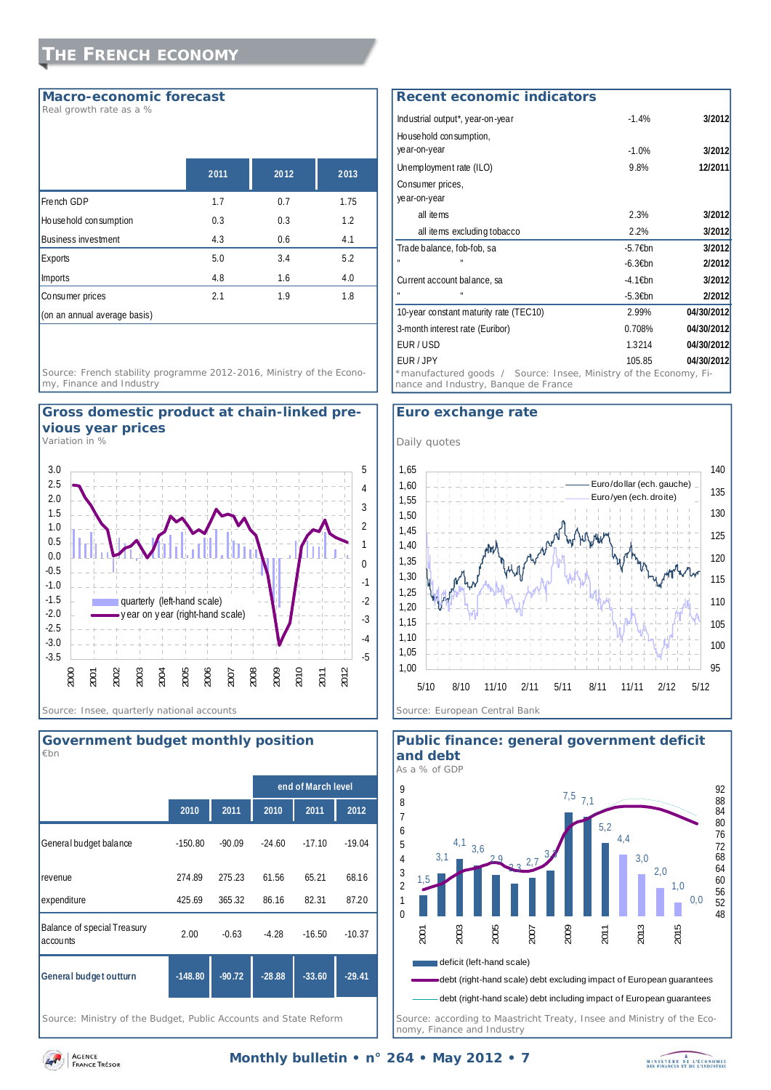#### **Macro-economic forecast**

*Real growth rate as a %* 

|                              | 2011 | 2012 | 2013 |
|------------------------------|------|------|------|
| French GDP                   | 1.7  | 0.7  | 1.75 |
| Household consumption        | 0.3  | 0.3  | 1.2  |
| <b>Business investment</b>   | 4.3  | 0.6  | 4.1  |
| Exports                      | 5.0  | 3.4  | 5.2  |
| Imports                      | 4.8  | 1.6  | 4.0  |
| Consumer prices              | 2.1  | 1.9  | 1.8  |
| (on an annual average basis) |      |      |      |

*Source: French stability programme 2012-2016, Ministry of the Economy, Finance and Industry* 



*Variation in %* 





*Source: Ministry of the Budget, Public Accounts and State Reform* 

#### Industrial output\*, year-on-year -1.4% **3/2012** Household consumption, year-on-year -1.0% **3/2012** Unemployment rate (ILO) 9.8% **12/2011** Consumer prices, year-on-year all items 2.3% **3/2012** all items excluding tobacco 2.2% **3/2012** Trade balance, fob-fob, sa -5.7€bn **3/2012** " " -6.3€bn **2/2012** Current account balance, sa -4.1€bn **3/2012** " " -5.3€bn **2/2012** 10-year constant maturity rate (TEC10) 2.99% **04/30/2012** 3-month interest rate (Euribor) 0.708% **04/30/2012** EUR / USD 1.3214 **04/30/2012** EUR / JPY 105.85 **04/30/2012 Recent economic indicators** *\**manufactured goods */ Source: Insee, Ministry of the Economy, Finance and Industry, Banque de France*

#### **Euro exchange rate**





**Public finance: general government deficit and debt** 

AGENCE **FRANCE TRESOR**  *nomy, Finance and Industry* 

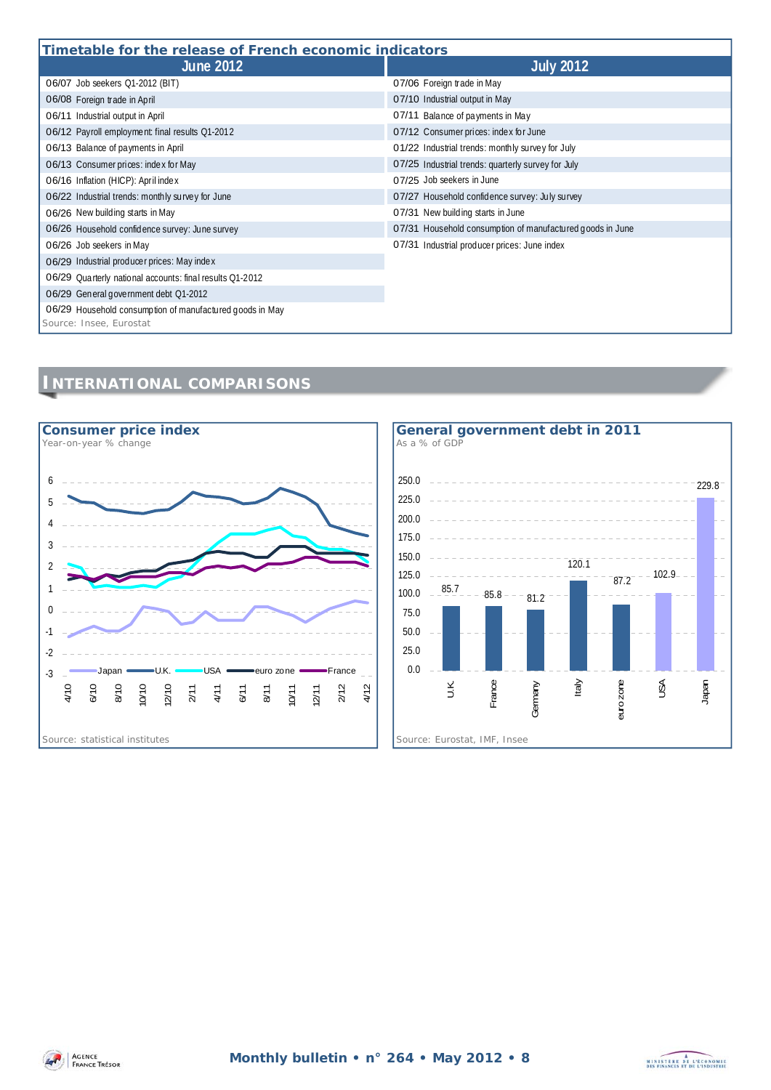| Timetable for the release of French economic indicators                             |                                                           |  |  |  |
|-------------------------------------------------------------------------------------|-----------------------------------------------------------|--|--|--|
| <b>June 2012</b>                                                                    | <b>July 2012</b>                                          |  |  |  |
| 06/07 Job seekers Q1-2012 (BIT)                                                     | 07/06 Foreign trade in May                                |  |  |  |
| 06/08 Foreign trade in April                                                        | 07/10 Industrial output in May                            |  |  |  |
| 06/11 Industrial output in April                                                    | 07/11 Balance of payments in May                          |  |  |  |
| 06/12 Payroll employment: final results Q1-2012                                     | 07/12 Consumer prices: index for June                     |  |  |  |
| 06/13 Balance of payments in April                                                  | 01/22 Industrial trends: monthly survey for July          |  |  |  |
| 06/13 Consumer prices: index for May                                                | 07/25 Industrial trends: quarterly survey for July        |  |  |  |
| 06/16 Inflation (HICP): April index                                                 | 07/25 Job seekers in June                                 |  |  |  |
| 06/22 Industrial trends: monthly survey for June                                    | 07/27 Household confidence survey: July survey            |  |  |  |
| 06/26 New building starts in May                                                    | 07/31 New building starts in June                         |  |  |  |
| 06/26 Household confidence survey: June survey                                      | 07/31 Household consumption of manufactured goods in June |  |  |  |
| 06/26 Job seekers in May                                                            | 07/31 Industrial producer prices: June index              |  |  |  |
| 06/29 Industrial producer prices: May index                                         |                                                           |  |  |  |
| 06/29 Quarterly national accounts: final results Q1-2012                            |                                                           |  |  |  |
| 06/29 General government debt Q1-2012                                               |                                                           |  |  |  |
| 06/29 Household consumption of manufactured goods in May<br>Source: Insee, Eurostat |                                                           |  |  |  |

### **INTERNATIONAL COMPARISONS**





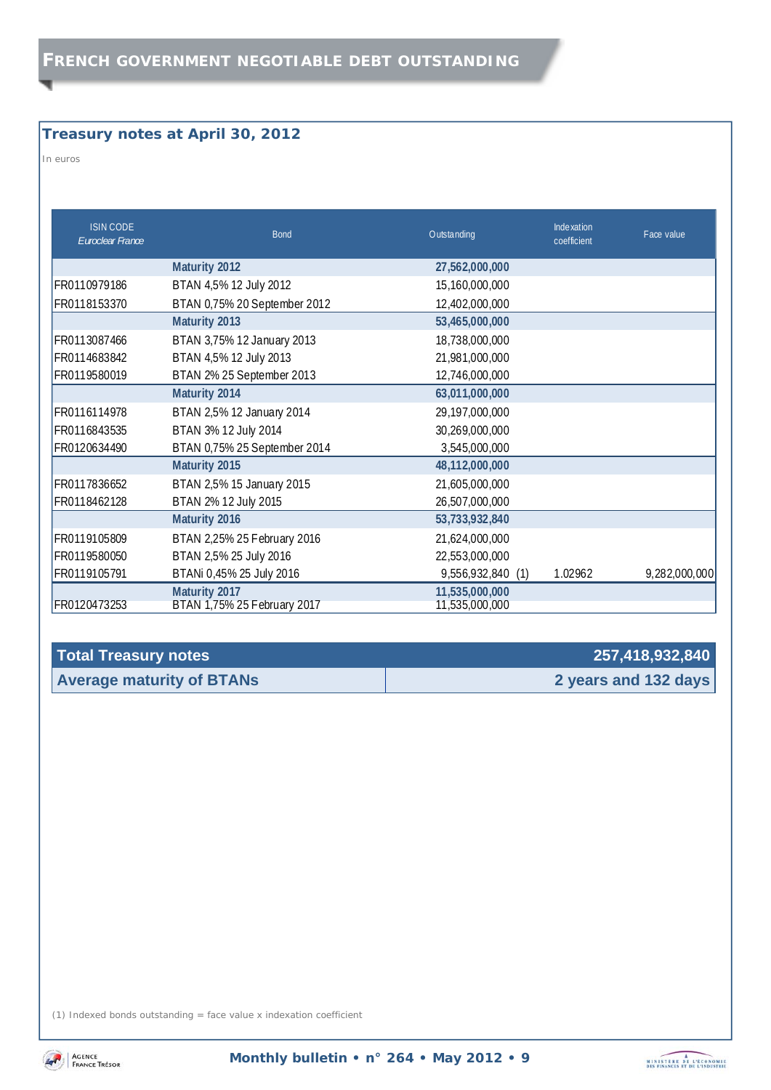### **Treasury notes at April 30, 2012**

*In euros* 

| <b>ISIN CODE</b><br>Euroclear France | <b>Bond</b>                                  | Outstanding                      | Inde xation<br>coefficient | Face value    |
|--------------------------------------|----------------------------------------------|----------------------------------|----------------------------|---------------|
|                                      | Maturity 2012                                | 27,562,000,000                   |                            |               |
| FR0110979186                         | BTAN 4,5% 12 July 2012                       | 15,160,000,000                   |                            |               |
| FR0118153370                         | BTAN 0,75% 20 September 2012                 | 12,402,000,000                   |                            |               |
|                                      | Maturity 2013                                | 53,465,000,000                   |                            |               |
| FR0113087466                         | BTAN 3,75% 12 January 2013                   | 18,738,000,000                   |                            |               |
| FR0114683842                         | BTAN 4,5% 12 July 2013                       | 21,981,000,000                   |                            |               |
| FR0119580019                         | BTAN 2% 25 September 2013                    | 12,746,000,000                   |                            |               |
|                                      | Maturity 2014                                | 63,011,000,000                   |                            |               |
| FR0116114978                         | BTAN 2,5% 12 January 2014                    | 29, 197, 000, 000                |                            |               |
| FR0116843535                         | BTAN 3% 12 July 2014                         | 30,269,000,000                   |                            |               |
| FR0120634490                         | BTAN 0,75% 25 September 2014                 | 3,545,000,000                    |                            |               |
|                                      | Maturity 2015                                | 48,112,000,000                   |                            |               |
| FR0117836652                         | BTAN 2,5% 15 January 2015                    | 21,605,000,000                   |                            |               |
| FR0118462128                         | BTAN 2% 12 July 2015                         | 26,507,000,000                   |                            |               |
|                                      | Maturity 2016                                | 53,733,932,840                   |                            |               |
| FR0119105809                         | BTAN 2,25% 25 February 2016                  | 21,624,000,000                   |                            |               |
| FR0119580050                         | BTAN 2,5% 25 July 2016                       | 22,553,000,000                   |                            |               |
| FR0119105791                         | BTANi 0,45% 25 July 2016                     | 9,556,932,840 (1)                | 1.02962                    | 9,282,000,000 |
| FR0120473253                         | Maturity 2017<br>BTAN 1,75% 25 February 2017 | 11,535,000,000<br>11,535,000,000 |                            |               |

| Total Treasury notes             | 257,418,932,840      |
|----------------------------------|----------------------|
| <b>Average maturity of BTANs</b> | 2 years and 132 days |

(1) Indexed bonds outstanding = face value x indexation coefficient



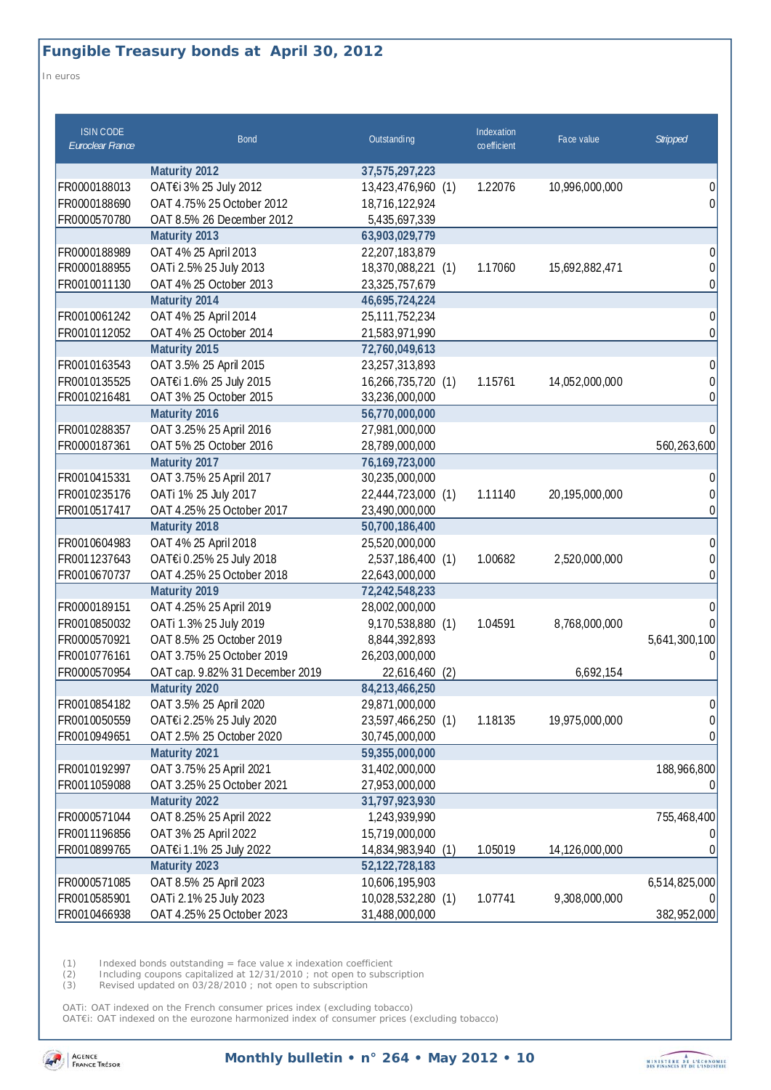### **Fungible Treasury bonds at April 30, 2012**

*In euros* 

| <b>ISIN CODE</b><br>Euroclear France | <b>Bond</b>                     | Outstanding           | Indexation<br>coefficient | Face value     | <b>Stripped</b> |
|--------------------------------------|---------------------------------|-----------------------|---------------------------|----------------|-----------------|
|                                      | Maturity 2012                   | 37,575,297,223        |                           |                |                 |
| FR0000188013                         | OAT€i 3% 25 July 2012           | 13,423,476,960 (1)    | 1.22076                   | 10,996,000,000 | 0               |
| FR0000188690                         | OAT 4.75% 25 October 2012       | 18,716,122,924        |                           |                | 0               |
| FR0000570780                         | OAT 8.5% 26 December 2012       | 5,435,697,339         |                           |                |                 |
|                                      | Maturity 2013                   | 63,903,029,779        |                           |                |                 |
| FR0000188989                         | OAT 4% 25 April 2013            | 22,207,183,879        |                           |                | 0               |
| FR0000188955                         | OATi 2.5% 25 July 2013          | 18,370,088,221 (1)    | 1.17060                   | 15,692,882,471 | 0               |
| FR0010011130                         | OAT 4% 25 October 2013          | 23,325,757,679        |                           |                | 0               |
|                                      | Maturity 2014                   | 46,695,724,224        |                           |                |                 |
| FR0010061242                         | OAT 4% 25 April 2014            | 25, 111, 752, 234     |                           |                | 0               |
| FR0010112052                         | OAT 4% 25 October 2014          | 21,583,971,990        |                           |                | 0               |
|                                      | Maturity 2015                   | 72,760,049,613        |                           |                |                 |
| FR0010163543                         | OAT 3.5% 25 April 2015          | 23,257,313,893        |                           |                | 0               |
| FR0010135525                         | OAT€i 1.6% 25 July 2015         | 16,266,735,720 (1)    | 1.15761                   | 14,052,000,000 | $\Omega$        |
| FR0010216481                         | OAT 3% 25 October 2015          | 33,236,000,000        |                           |                | 0               |
|                                      | Maturity 2016                   | 56,770,000,000        |                           |                |                 |
| FR0010288357                         | OAT 3.25% 25 April 2016         | 27,981,000,000        |                           |                | 0               |
| FR0000187361                         | OAT 5% 25 October 2016          | 28,789,000,000        |                           |                | 560,263,600     |
|                                      | Maturity 2017                   | 76,169,723,000        |                           |                |                 |
| FR0010415331                         | OAT 3.75% 25 April 2017         | 30,235,000,000        |                           |                | 0               |
| FR0010235176                         | OATi 1% 25 July 2017            | 22,444,723,000 (1)    | 1.11140                   | 20,195,000,000 |                 |
| FR0010517417                         | OAT 4.25% 25 October 2017       | 23,490,000,000        |                           |                | 0               |
|                                      | Maturity 2018                   | 50,700,186,400        |                           |                |                 |
| FR0010604983                         | OAT 4% 25 April 2018            | 25,520,000,000        |                           |                | 0               |
| FR0011237643                         | OAT€i 0.25% 25 July 2018        | 2,537,186,400 (1)     | 1.00682                   | 2,520,000,000  | 0               |
| FR0010670737                         | OAT 4.25% 25 October 2018       | 22,643,000,000        |                           |                | 0               |
|                                      | Maturity 2019                   | 72,242,548,233        |                           |                |                 |
| FR0000189151                         | OAT 4.25% 25 April 2019         | 28,002,000,000        |                           |                | 0               |
| FR0010850032                         | OATi 1.3% 25 July 2019          | 9,170,538,880 (1)     | 1.04591                   | 8,768,000,000  |                 |
| FR0000570921                         | OAT 8.5% 25 October 2019        | 8,844,392,893         |                           |                | 5,641,300,100   |
| FR0010776161                         | OAT 3.75% 25 October 2019       | 26,203,000,000        |                           |                | U               |
| FR0000570954                         | OAT cap. 9.82% 31 December 2019 | 22,616,460<br>(2)     |                           | 6,692,154      |                 |
|                                      | Maturity 2020                   | 84,213,466,250        |                           |                |                 |
| FR0010854182                         | OAT 3.5% 25 April 2020          | 29,871,000,000        |                           |                | 0               |
| FR0010050559                         | OAT€i 2.25% 25 July 2020        | 23,597,466,250 (1)    | 1.18135                   | 19,975,000,000 | O.              |
| FR0010949651                         | OAT 2.5% 25 October 2020        | 30,745,000,000        |                           |                | 0               |
|                                      | Maturity 2021                   | 59,355,000,000        |                           |                |                 |
| FR0010192997                         | OAT 3.75% 25 April 2021         | 31,402,000,000        |                           |                | 188,966,800     |
| FR0011059088                         | OAT 3.25% 25 October 2021       | 27,953,000,000        |                           |                |                 |
|                                      | Maturity 2022                   | 31,797,923,930        |                           |                |                 |
| FR0000571044                         | OAT 8.25% 25 April 2022         | 1,243,939,990         |                           |                | 755,468,400     |
| FR0011196856                         | OAT 3% 25 April 2022            | 15,719,000,000        |                           |                |                 |
| FR0010899765                         | OAT€i 1.1% 25 July 2022         | 14,834,983,940<br>(1) | 1.05019                   | 14,126,000,000 |                 |
|                                      | Maturity 2023                   | 52,122,728,183        |                           |                |                 |
| FR0000571085                         | OAT 8.5% 25 April 2023          | 10,606,195,903        |                           |                | 6,514,825,000   |
| FR0010585901                         | OATi 2.1% 25 July 2023          | 10,028,532,280 (1)    | 1.07741                   | 9,308,000,000  |                 |
| FR0010466938                         | OAT 4.25% 25 October 2023       | 31,488,000,000        |                           |                | 382,952,000     |

(1) Indexed bonds outstanding = face value x indexation coefficient

(2) Including coupons capitalized at 12/31/2010 ; not open to subscription

(3) Revised updated on 03/28/2010 ; not open to subscription

OATi: OAT indexed on the French consumer prices index (excluding tobacco) OAT€i: OAT indexed on the eurozone harmonized index of consumer prices (excluding tobacco)



**Monthly bulletin • n° 264 • May 2012 • 10** 

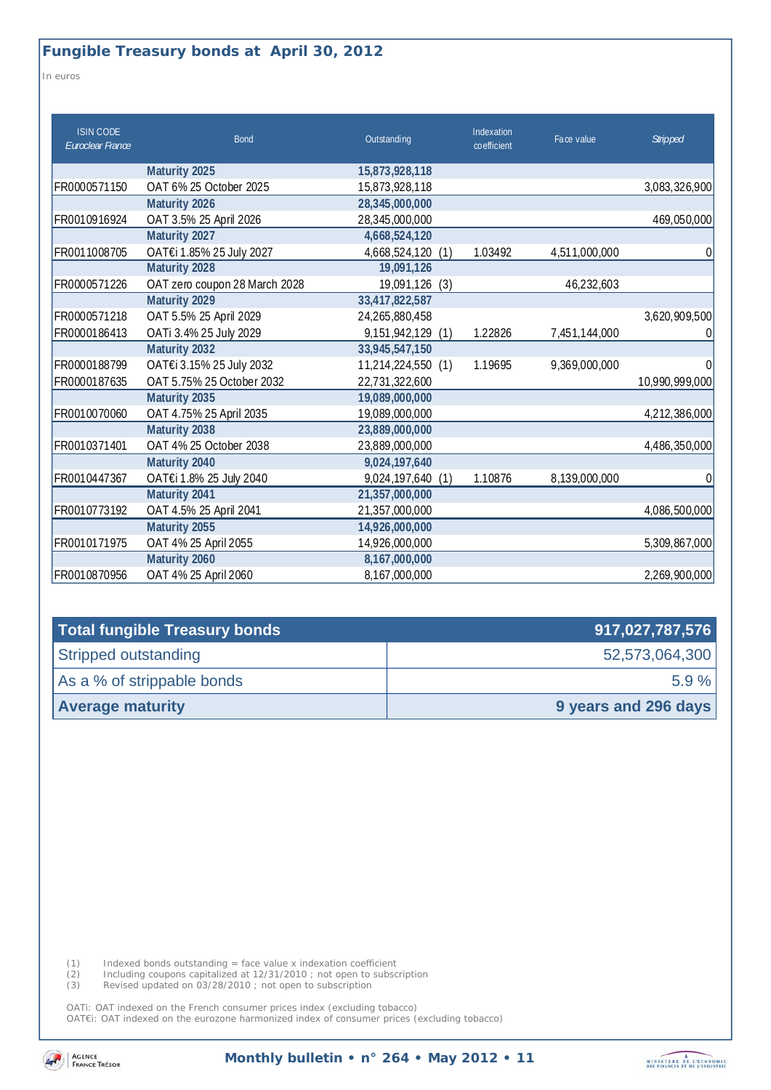*In euros* 

| <b>ISIN CODE</b><br>Euroclear France | <b>Bond</b>                   | Outstanding          | Indexation<br>co efficient | Face value    | <b>Stripped</b> |
|--------------------------------------|-------------------------------|----------------------|----------------------------|---------------|-----------------|
|                                      | Maturity 2025                 | 15,873,928,118       |                            |               |                 |
| FR0000571150                         | OAT 6% 25 October 2025        | 15,873,928,118       |                            |               | 3,083,326,900   |
|                                      | Maturity 2026                 | 28,345,000,000       |                            |               |                 |
| FR0010916924                         | OAT 3.5% 25 April 2026        | 28,345,000,000       |                            |               | 469,050,000     |
|                                      | Maturity 2027                 | 4,668,524,120        |                            |               |                 |
| FR0011008705                         | OAT€i 1.85% 25 July 2027      | 4,668,524,120<br>(1) | 1.03492                    | 4,511,000,000 | 0               |
|                                      | Maturity 2028                 | 19,091,126           |                            |               |                 |
| FR0000571226                         | OAT zero coupon 28 March 2028 | 19,091,126<br>(3)    |                            | 46,232,603    |                 |
|                                      | Maturity 2029                 | 33,417,822,587       |                            |               |                 |
| FR0000571218                         | OAT 5.5% 25 April 2029        | 24,265,880,458       |                            |               | 3,620,909,500   |
| FR0000186413                         | OATi 3.4% 25 July 2029        | 9,151,942,129<br>(1) | 1.22826                    | 7,451,144,000 | $\Omega$        |
|                                      | Maturity 2032                 | 33,945,547,150       |                            |               |                 |
| FR0000188799                         | OAT€i 3.15% 25 July 2032      | 11,214,224,550 (1)   | 1.19695                    | 9,369,000,000 | $\Omega$        |
| FR0000187635                         | OAT 5.75% 25 October 2032     | 22,731,322,600       |                            |               | 10,990,999,000  |
|                                      | Maturity 2035                 | 19,089,000,000       |                            |               |                 |
| FR0010070060                         | OAT 4.75% 25 April 2035       | 19,089,000,000       |                            |               | 4,212,386,000   |
|                                      | Maturity 2038                 | 23,889,000,000       |                            |               |                 |
| FR0010371401                         | OAT 4% 25 October 2038        | 23,889,000,000       |                            |               | 4,486,350,000   |
|                                      | Maturity 2040                 | 9,024,197,640        |                            |               |                 |
| FR0010447367                         | OAT€i 1.8% 25 July 2040       | 9,024,197,640<br>(1) | 1.10876                    | 8,139,000,000 | 0               |
|                                      | Maturity 2041                 | 21,357,000,000       |                            |               |                 |
| FR0010773192                         | OAT 4.5% 25 April 2041        | 21,357,000,000       |                            |               | 4,086,500,000   |
|                                      | Maturity 2055                 | 14,926,000,000       |                            |               |                 |
| FR0010171975                         | OAT 4% 25 April 2055          | 14,926,000,000       |                            |               | 5,309,867,000   |
|                                      | Maturity 2060                 | 8,167,000,000        |                            |               |                 |
| FR0010870956                         | OAT 4% 25 April 2060          | 8,167,000,000        |                            |               | 2,269,900,000   |

| Total fungible Treasury bonds | 917,027,787,576      |
|-------------------------------|----------------------|
| Stripped outstanding          | 52,573,064,300       |
| As a % of strippable bonds    | $5.9 \%$             |
| <b>Average maturity</b>       | 9 years and 296 days |

(1) Indexed bonds outstanding = face value x indexation coefficient

(2) Including coupons capitalized at 12/31/2010 ; not open to subscription

(3) Revised updated on 03/28/2010 ; not open to subscription

OATi: OAT indexed on the French consumer prices index (excluding tobacco)

OAT€i: OAT indexed on the eurozone harmonized index of consumer prices (excluding tobacco)